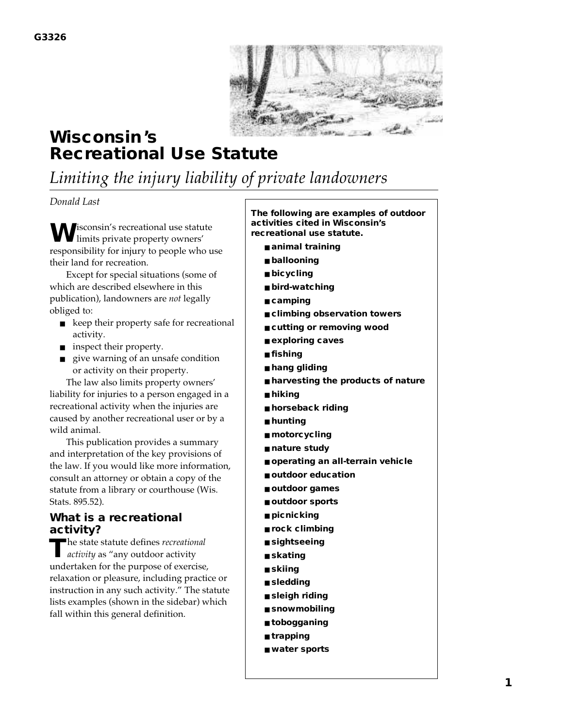

# **Wisconsin's Recreational Use Statute**

*Limiting the injury liability of private landowners*

#### *Donald Last*

**W**isconsin's recreational use statute limits private property owners' responsibility for injury to people who use their land for recreation.

Except for special situations (some of which are described elsewhere in this publication), landowners are *not* legally obliged to:

- keep their property safe for recreational activity.
- inspect their property.
- give warning of an unsafe condition or activity on their property.

The law also limits property owners' liability for injuries to a person engaged in a recreational activity when the injuries are caused by another recreational user or by a wild animal.

This publication provides a summary and interpretation of the key provisions of the law. If you would like more information, consult an attorney or obtain a copy of the statute from a library or courthouse (Wis. Stats. 895.52).

#### **What is a recreational activity?**

**T**he state statute defines *recreational activity* as "any outdoor activity undertaken for the purpose of exercise, relaxation or pleasure, including practice or instruction in any such activity." The statute lists examples (shown in the sidebar) which fall within this general definition.

**The following are examples of outdoor activities cited in Wisconsin's recreational use statute.**

- animal training
- **ballooning**
- **bicycling**
- **bird-watching**
- **camping**
- climbing observation towers
- cutting or removing wood
- **exploring caves**
- **fishing**
- **hang gliding**
- **harvesting the products of nature**
- **hiking**
- **horseback riding**
- **hunting**
- **motorcycling**
- **nature study**
- **operating an all-terrain vehicle**
- **outdoor education**
- **outdoor games**
- **outdoor sports**
- **picnicking**
- **rock climbing**
- **sightseeing**
- **skating**
- **skiing**
- **sledding**
- **sleigh riding**
- snowmobiling
- **tobogganing**
- **trapping**
- **water sports**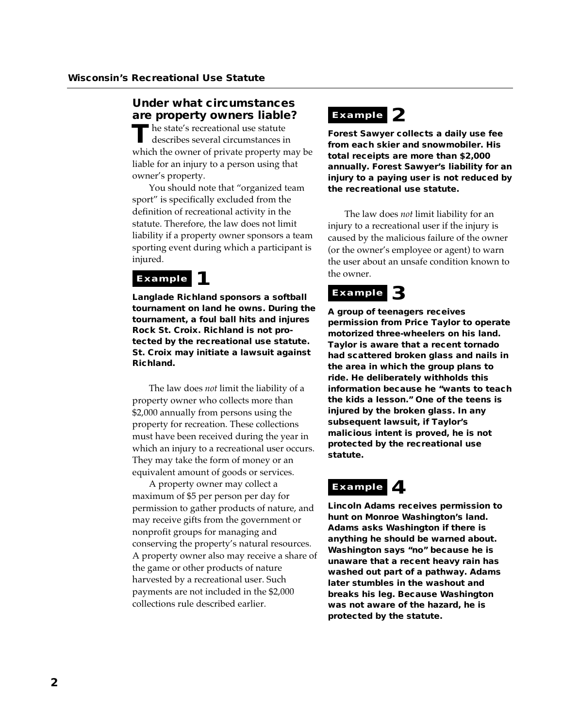#### **Under what circumstances are property owners liable?**

**T**he state's recreational use statute describes several circumstances in which the owner of private property may be liable for an injury to a person using that owner's property.

You should note that "organized team sport" is specifically excluded from the definition of recreational activity in the statute. Therefore, the law does not limit liability if a property owner sponsors a team sporting event during which a participant is injured.

#### **Example**

**Langlade Richland sponsors a softball tournament on land he owns. During the tournament, a foul ball hits and injures Rock St. Croix. Richland is not protected by the recreational use statute. St. Croix may initiate a lawsuit against Richland.**

The law does *not* limit the liability of a property owner who collects more than \$2,000 annually from persons using the property for recreation. These collections must have been received during the year in which an injury to a recreational user occurs. They may take the form of money or an equivalent amount of goods or services.

A property owner may collect a maximum of \$5 per person per day for permission to gather products of nature, and may receive gifts from the government or nonprofit groups for managing and conserving the property's natural resources. A property owner also may receive a share of the game or other products of nature harvested by a recreational user. Such payments are not included in the \$2,000 collections rule described earlier.

### **Example 2**

**Forest Sawyer collects a daily use fee from each skier and snowmobiler. His total receipts are more than \$2,000 annually. Forest Sawyer's liability for an injury to a paying user is not reduced by the recreational use statute.**

The law does *not* limit liability for an injury to a recreational user if the injury is caused by the malicious failure of the owner (or the owner's employee or agent) to warn the user about an unsafe condition known to the owner.

### **Example 3**

**A group of teenagers receives permission from Price Taylor to operate motorized three-wheelers on his land. Taylor is aware that a recent tornado had scattered broken glass and nails in the area in which the group plans to ride. He deliberately withholds this information because he "wants to teach the kids a lesson." One of the teens is injured by the broken glass. In any subsequent lawsuit, if Taylor's malicious intent is proved, he is not protected by the recreational use statute.**

### **Example 4**

**Lincoln Adams receives permission to hunt on Monroe Washington's land. Adams asks Washington if there is anything he should be warned about. Washington says "no" because he is unaware that a recent heavy rain has washed out part of a pathway. Adams later stumbles in the washout and breaks his leg. Because Washington was not aware of the hazard, he is protected by the statute.**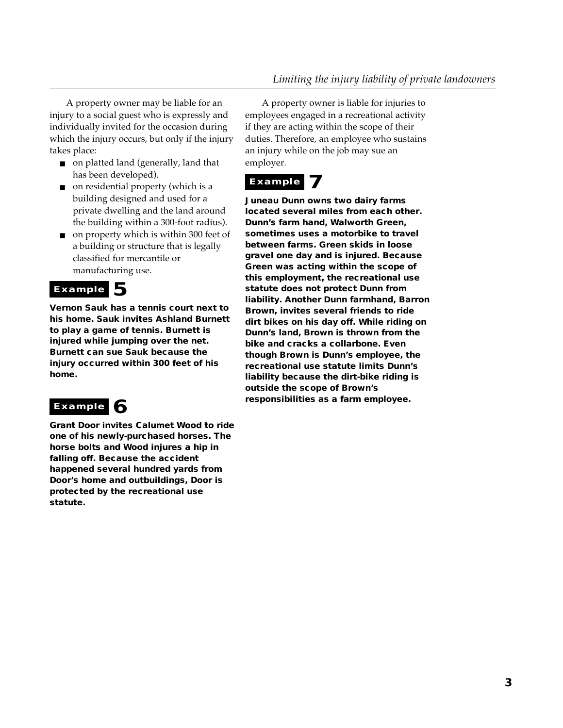A property owner may be liable for an injury to a social guest who is expressly and individually invited for the occasion during which the injury occurs, but only if the injury takes place:

- on platted land (generally, land that has been developed).
- on residential property (which is a building designed and used for a private dwelling and the land around the building within a 300-foot radius).
- on property which is within 300 feet of a building or structure that is legally classified for mercantile or manufacturing use.

#### Example 5

**Vernon Sauk has a tennis court next to his home. Sauk invites Ashland Burnett to play a game of tennis. Burnett is injured while jumping over the net. Burnett can sue Sauk because the injury occurred within 300 feet of his home.** 

## Example 6

**Grant Door invites Calumet Wood to ride one of his newly-purchased horses. The horse bolts and Wood injures a hip in falling off. Because the accident happened several hundred yards from Door's home and outbuildings, Door is protected by the recreational use statute.**

A property owner is liable for injuries to employees engaged in a recreational activity if they are acting within the scope of their duties. Therefore, an employee who sustains an injury while on the job may sue an employer.

#### **Example**

**Juneau Dunn owns two dairy farms located several miles from each other. Dunn's farm hand, Walworth Green, sometimes uses a motorbike to travel between farms. Green skids in loose gravel one day and is injured. Because Green was acting within the scope of this employment, the recreational use statute does not protect Dunn from liability. Another Dunn farmhand, Barron Brown, invites several friends to ride dirt bikes on his day off. While riding on Dunn's land, Brown is thrown from the bike and cracks a collarbone. Even though Brown is Dunn's employee, the recreational use statute limits Dunn's liability because the dirt-bike riding is outside the scope of Brown's responsibilities as a farm employee.**